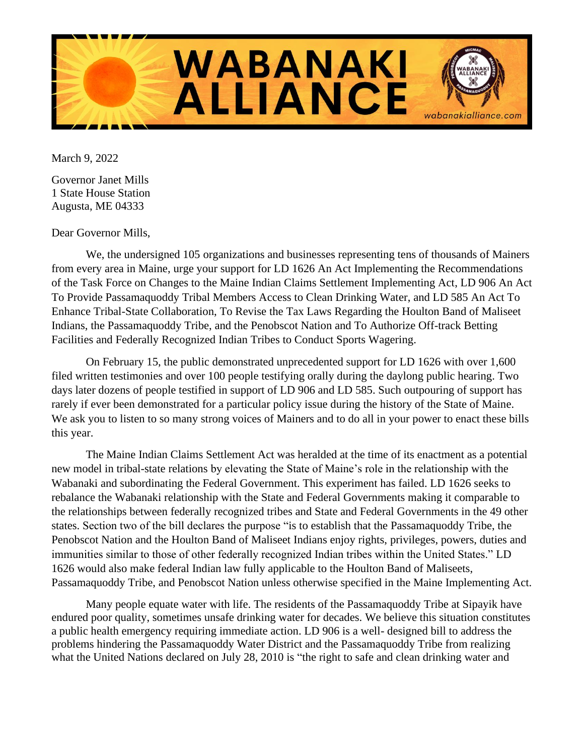

March 9, 2022

Governor Janet Mills 1 State House Station Augusta, ME 04333

Dear Governor Mills,

We, the undersigned 105 organizations and businesses representing tens of thousands of Mainers from every area in Maine, urge your support for LD 1626 An Act Implementing the Recommendations of the Task Force on Changes to the Maine Indian Claims Settlement Implementing Act, LD 906 An Act To Provide Passamaquoddy Tribal Members Access to Clean Drinking Water, and LD 585 An Act To Enhance Tribal-State Collaboration, To Revise the Tax Laws Regarding the Houlton Band of Maliseet Indians, the Passamaquoddy Tribe, and the Penobscot Nation and To Authorize Off-track Betting Facilities and Federally Recognized Indian Tribes to Conduct Sports Wagering.

On February 15, the public demonstrated unprecedented support for LD 1626 with over 1,600 filed written testimonies and over 100 people testifying orally during the daylong public hearing. Two days later dozens of people testified in support of LD 906 and LD 585. Such outpouring of support has rarely if ever been demonstrated for a particular policy issue during the history of the State of Maine. We ask you to listen to so many strong voices of Mainers and to do all in your power to enact these bills this year.

The Maine Indian Claims Settlement Act was heralded at the time of its enactment as a potential new model in tribal-state relations by elevating the State of Maine's role in the relationship with the Wabanaki and subordinating the Federal Government. This experiment has failed. LD 1626 seeks to rebalance the Wabanaki relationship with the State and Federal Governments making it comparable to the relationships between federally recognized tribes and State and Federal Governments in the 49 other states. Section two of the bill declares the purpose "is to establish that the Passamaquoddy Tribe, the Penobscot Nation and the Houlton Band of Maliseet Indians enjoy rights, privileges, powers, duties and immunities similar to those of other federally recognized Indian tribes within the United States." LD 1626 would also make federal Indian law fully applicable to the Houlton Band of Maliseets, Passamaquoddy Tribe, and Penobscot Nation unless otherwise specified in the Maine Implementing Act.

Many people equate water with life. The residents of the Passamaquoddy Tribe at Sipayik have endured poor quality, sometimes unsafe drinking water for decades. We believe this situation constitutes a public health emergency requiring immediate action. LD 906 is a well- designed bill to address the problems hindering the Passamaquoddy Water District and the Passamaquoddy Tribe from realizing what the United Nations declared on July 28, 2010 is "the right to safe and clean drinking water and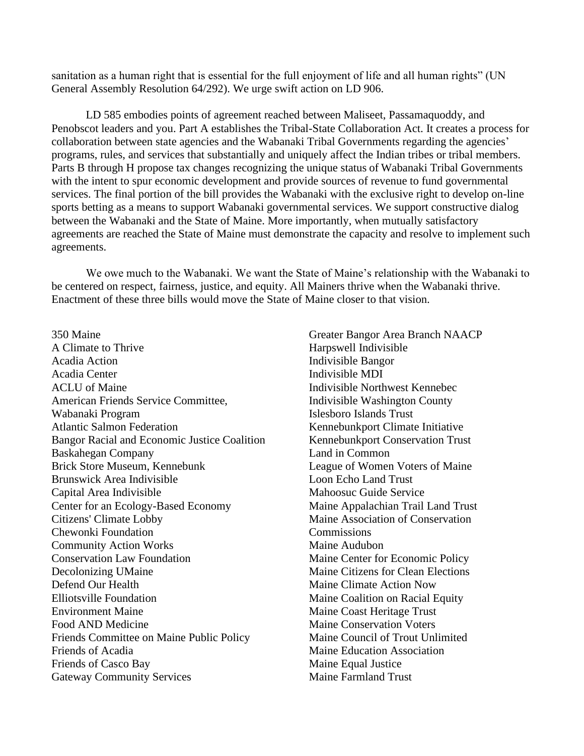sanitation as a human right that is essential for the full enjoyment of life and all human rights" (UN General Assembly Resolution 64/292). We urge swift action on LD 906.

LD 585 embodies points of agreement reached between Maliseet, Passamaquoddy, and Penobscot leaders and you. Part A establishes the Tribal-State Collaboration Act. It creates a process for collaboration between state agencies and the Wabanaki Tribal Governments regarding the agencies' programs, rules, and services that substantially and uniquely affect the Indian tribes or tribal members. Parts B through H propose tax changes recognizing the unique status of Wabanaki Tribal Governments with the intent to spur economic development and provide sources of revenue to fund governmental services. The final portion of the bill provides the Wabanaki with the exclusive right to develop on-line sports betting as a means to support Wabanaki governmental services. We support constructive dialog between the Wabanaki and the State of Maine. More importantly, when mutually satisfactory agreements are reached the State of Maine must demonstrate the capacity and resolve to implement such agreements.

We owe much to the Wabanaki. We want the State of Maine's relationship with the Wabanaki to be centered on respect, fairness, justice, and equity. All Mainers thrive when the Wabanaki thrive. Enactment of these three bills would move the State of Maine closer to that vision.

350 Maine A Climate to Thrive Acadia Action Acadia Center ACLU of Maine American Friends Service Committee, Wabanaki Program Atlantic Salmon Federation Bangor Racial and Economic Justice Coalition Baskahegan Company Brick Store Museum, Kennebunk Brunswick Area Indivisible Capital Area Indivisible Center for an Ecology-Based Economy Citizens' Climate Lobby Chewonki Foundation Community Action Works Conservation Law Foundation Decolonizing UMaine Defend Our Health Elliotsville Foundation Environment Maine Food AND Medicine Friends Committee on Maine Public Policy Friends of Acadia Friends of Casco Bay Gateway Community Services

Greater Bangor Area Branch NAACP Harpswell Indivisible Indivisible Bangor Indivisible MDI Indivisible Northwest Kennebec Indivisible Washington County Islesboro Islands Trust Kennebunkport Climate Initiative Kennebunkport Conservation Trust Land in Common League of Women Voters of Maine Loon Echo Land Trust Mahoosuc Guide Service Maine Appalachian Trail Land Trust Maine Association of Conservation **Commissions** Maine Audubon Maine Center for Economic Policy Maine Citizens for Clean Elections Maine Climate Action Now Maine Coalition on Racial Equity Maine Coast Heritage Trust Maine Conservation Voters Maine Council of Trout Unlimited Maine Education Association Maine Equal Justice Maine Farmland Trust